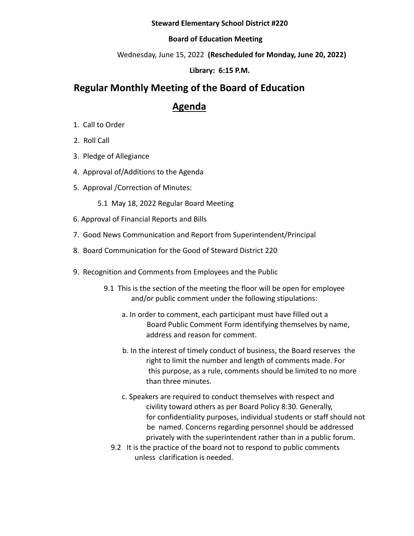#### **Steward Elementary School District #220**

### **Board of Education Meeting**

Wednesday, June 15, 2022 **(Rescheduled for Monday, June 20, 2022)**

**Library: 6:15 P.M.**

# **Regular Monthly Meeting of the Board of Education**

## **Agenda**

- 1. Call to Order
- 2. Roll Call
- 3. Pledge of Allegiance
- 4. Approval of/Additions to the Agenda
- 5. Approval /Correction of Minutes:
	- 5.1 May 18, 2022 Regular Board Meeting
- 6. Approval of Financial Reports and Bills
- 7. Good News Communication and Report from Superintendent/Principal
- 8. Board Communication for the Good of Steward District 220
- 9. Recognition and Comments from Employees and the Public
	- 9.1 This is the section of the meeting the floor will be open for employee and/or public comment under the following stipulations:
		- a. In order to comment, each participant must have filled out a Board Public Comment Form identifying themselves by name, address and reason for comment.
		- b. In the interest of timely conduct of business, the Board reserves the right to limit the number and length of comments made. For this purpose, as a rule, comments should be limited to no more than three minutes.
		- c. Speakers are required to conduct themselves with respect and civility toward others as per Board Policy 8:30. Generally, for confidentiality purposes, individual students or staff should not be named. Concerns regarding personnel should be addressed privately with the superintendent rather than in a public forum.
		- 9.2 It is the practice of the board not to respond to public comments unless clarification is needed.